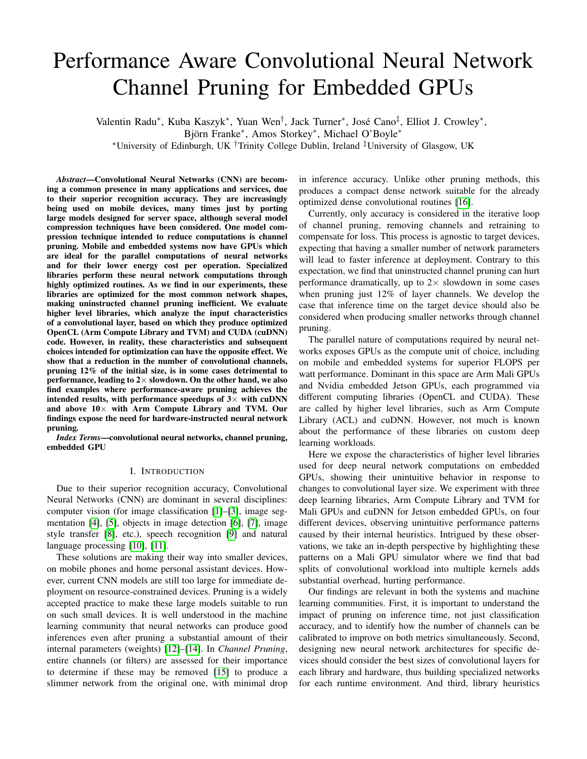# Performance Aware Convolutional Neural Network Channel Pruning for Embedded GPUs

Valentin Radu\*, Kuba Kaszyk\*, Yuan Wen<sup>†</sup>, Jack Turner\*, José Cano<sup>‡</sup>, Elliot J. Crowley\*, Björn Franke\*, Amos Storkey\*, Michael O'Boyle\* <sup>∗</sup>University of Edinburgh, UK †Trinity College Dublin, Ireland ‡University of Glasgow, UK

*Abstract*—Convolutional Neural Networks (CNN) are becoming a common presence in many applications and services, due to their superior recognition accuracy. They are increasingly being used on mobile devices, many times just by porting large models designed for server space, although several model compression techniques have been considered. One model compression technique intended to reduce computations is channel pruning. Mobile and embedded systems now have GPUs which are ideal for the parallel computations of neural networks and for their lower energy cost per operation. Specialized libraries perform these neural network computations through highly optimized routines. As we find in our experiments, these libraries are optimized for the most common network shapes, making uninstructed channel pruning inefficient. We evaluate higher level libraries, which analyze the input characteristics of a convolutional layer, based on which they produce optimized OpenCL (Arm Compute Library and TVM) and CUDA (cuDNN) code. However, in reality, these characteristics and subsequent choices intended for optimization can have the opposite effect. We show that a reduction in the number of convolutional channels, pruning 12% of the initial size, is in some cases detrimental to performance, leading to  $2 \times$  slowdown. On the other hand, we also find examples where performance-aware pruning achieves the intended results, with performance speedups of  $3\times$  with cuDNN and above  $10\times$  with Arm Compute Library and TVM. Our findings expose the need for hardware-instructed neural network pruning.

*Index Terms*—convolutional neural networks, channel pruning, embedded GPU

#### I. INTRODUCTION

Due to their superior recognition accuracy, Convolutional Neural Networks (CNN) are dominant in several disciplines: computer vision (for image classification [\[1\]](#page-9-0)–[\[3\]](#page-9-1), image segmentation [\[4\]](#page-9-2), [\[5\]](#page-9-3), objects in image detection [\[6\]](#page-9-4), [\[7\]](#page-9-5), image style transfer [\[8\]](#page-9-6), etc.), speech recognition [\[9\]](#page-9-7) and natural language processing [\[10\]](#page-10-0), [\[11\]](#page-10-1).

These solutions are making their way into smaller devices, on mobile phones and home personal assistant devices. However, current CNN models are still too large for immediate deployment on resource-constrained devices. Pruning is a widely accepted practice to make these large models suitable to run on such small devices. It is well understood in the machine learning community that neural networks can produce good inferences even after pruning a substantial amount of their internal parameters (weights) [\[12\]](#page-10-2)–[\[14\]](#page-10-3). In *Channel Pruning*, entire channels (or filters) are assessed for their importance to determine if these may be removed [\[15\]](#page-10-4) to produce a slimmer network from the original one, with minimal drop

in inference accuracy. Unlike other pruning methods, this produces a compact dense network suitable for the already optimized dense convolutional routines [\[16\]](#page-10-5).

Currently, only accuracy is considered in the iterative loop of channel pruning, removing channels and retraining to compensate for loss. This process is agnostic to target devices, expecting that having a smaller number of network parameters will lead to faster inference at deployment. Contrary to this expectation, we find that uninstructed channel pruning can hurt performance dramatically, up to  $2 \times$  slowdown in some cases when pruning just 12% of layer channels. We develop the case that inference time on the target device should also be considered when producing smaller networks through channel pruning.

The parallel nature of computations required by neural networks exposes GPUs as the compute unit of choice, including on mobile and embedded systems for superior FLOPS per watt performance. Dominant in this space are Arm Mali GPUs and Nvidia embedded Jetson GPUs, each programmed via different computing libraries (OpenCL and CUDA). These are called by higher level libraries, such as Arm Compute Library (ACL) and cuDNN. However, not much is known about the performance of these libraries on custom deep learning workloads.

Here we expose the characteristics of higher level libraries used for deep neural network computations on embedded GPUs, showing their unintuitive behavior in response to changes to convolutional layer size. We experiment with three deep learning libraries, Arm Compute Library and TVM for Mali GPUs and cuDNN for Jetson embedded GPUs, on four different devices, observing unintuitive performance patterns caused by their internal heuristics. Intrigued by these observations, we take an in-depth perspective by highlighting these patterns on a Mali GPU simulator where we find that bad splits of convolutional workload into multiple kernels adds substantial overhead, hurting performance.

Our findings are relevant in both the systems and machine learning communities. First, it is important to understand the impact of pruning on inference time, not just classification accuracy, and to identify how the number of channels can be calibrated to improve on both metrics simultaneously. Second, designing new neural network architectures for specific devices should consider the best sizes of convolutional layers for each library and hardware, thus building specialized networks for each runtime environment. And third, library heuristics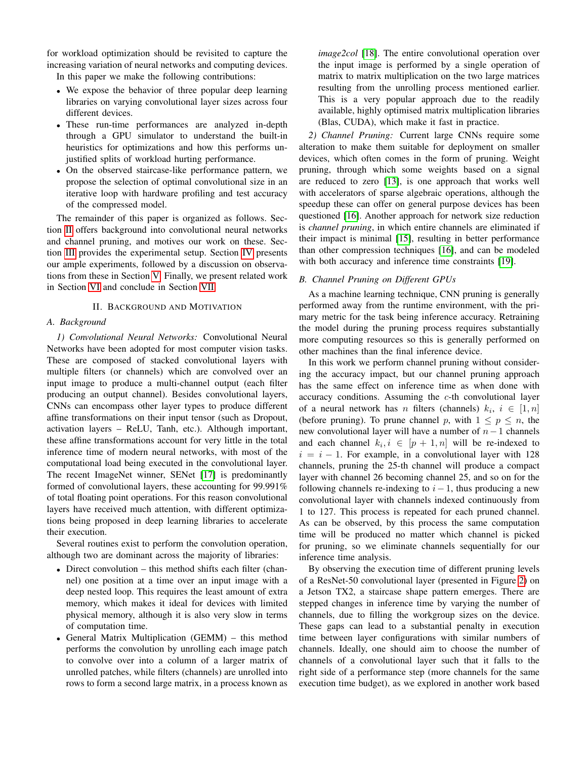for workload optimization should be revisited to capture the increasing variation of neural networks and computing devices.

In this paper we make the following contributions:

- We expose the behavior of three popular deep learning libraries on varying convolutional layer sizes across four different devices.
- These run-time performances are analyzed in-depth through a GPU simulator to understand the built-in heuristics for optimizations and how this performs unjustified splits of workload hurting performance.
- On the observed staircase-like performance pattern, we propose the selection of optimal convolutional size in an iterative loop with hardware profiling and test accuracy of the compressed model.

The remainder of this paper is organized as follows. Section [II](#page-1-0) offers background into convolutional neural networks and channel pruning, and motives our work on these. Section [III](#page-2-0) provides the experimental setup. Section [IV](#page-3-0) presents our ample experiments, followed by a discussion on observations from these in Section [V.](#page-8-0) Finally, we present related work in Section [VI](#page-8-1) and conclude in Section [VII.](#page-9-8)

# II. BACKGROUND AND MOTIVATION

## <span id="page-1-0"></span>*A. Background*

*1) Convolutional Neural Networks:* Convolutional Neural Networks have been adopted for most computer vision tasks. These are composed of stacked convolutional layers with multiple filters (or channels) which are convolved over an input image to produce a multi-channel output (each filter producing an output channel). Besides convolutional layers, CNNs can encompass other layer types to produce different affine transformations on their input tensor (such as Dropout, activation layers – ReLU, Tanh, etc.). Although important, these affine transformations account for very little in the total inference time of modern neural networks, with most of the computational load being executed in the convolutional layer. The recent ImageNet winner, SENet [\[17\]](#page-10-6) is predominantly formed of convolutional layers, these accounting for 99.991% of total floating point operations. For this reason convolutional layers have received much attention, with different optimizations being proposed in deep learning libraries to accelerate their execution.

Several routines exist to perform the convolution operation, although two are dominant across the majority of libraries:

- Direct convolution this method shifts each filter (channel) one position at a time over an input image with a deep nested loop. This requires the least amount of extra memory, which makes it ideal for devices with limited physical memory, although it is also very slow in terms of computation time.
- General Matrix Multiplication (GEMM) this method performs the convolution by unrolling each image patch to convolve over into a column of a larger matrix of unrolled patches, while filters (channels) are unrolled into rows to form a second large matrix, in a process known as

*image2col* [\[18\]](#page-10-7). The entire convolutional operation over the input image is performed by a single operation of matrix to matrix multiplication on the two large matrices resulting from the unrolling process mentioned earlier. This is a very popular approach due to the readily available, highly optimised matrix multiplication libraries (Blas, CUDA), which make it fast in practice.

*2) Channel Pruning:* Current large CNNs require some alteration to make them suitable for deployment on smaller devices, which often comes in the form of pruning. Weight pruning, through which some weights based on a signal are reduced to zero [\[13\]](#page-10-8), is one approach that works well with accelerators of sparse algebraic operations, although the speedup these can offer on general purpose devices has been questioned [\[16\]](#page-10-5). Another approach for network size reduction is *channel pruning*, in which entire channels are eliminated if their impact is minimal [\[15\]](#page-10-4), resulting in better performance than other compression techniques [\[16\]](#page-10-5), and can be modeled with both accuracy and inference time constraints [\[19\]](#page-10-9).

# *B. Channel Pruning on Different GPUs*

As a machine learning technique, CNN pruning is generally performed away from the runtime environment, with the primary metric for the task being inference accuracy. Retraining the model during the pruning process requires substantially more computing resources so this is generally performed on other machines than the final inference device.

In this work we perform channel pruning without considering the accuracy impact, but our channel pruning approach has the same effect on inference time as when done with accuracy conditions. Assuming the  $c$ -th convolutional layer of a neural network has *n* filters (channels)  $k_i$ ,  $i \in [1, n]$ (before pruning). To prune channel p, with  $1 \leq p \leq n$ , the new convolutional layer will have a number of  $n-1$  channels and each channel  $k_i, i \in [p+1, n]$  will be re-indexed to  $i = i - 1$ . For example, in a convolutional layer with 128 channels, pruning the 25-th channel will produce a compact layer with channel 26 becoming channel 25, and so on for the following channels re-indexing to  $i-1$ , thus producing a new convolutional layer with channels indexed continuously from 1 to 127. This process is repeated for each pruned channel. As can be observed, by this process the same computation time will be produced no matter which channel is picked for pruning, so we eliminate channels sequentially for our inference time analysis.

By observing the execution time of different pruning levels of a ResNet-50 convolutional layer (presented in Figure [2\)](#page-2-1) on a Jetson TX2, a staircase shape pattern emerges. There are stepped changes in inference time by varying the number of channels, due to filling the workgroup sizes on the device. These gaps can lead to a substantial penalty in execution time between layer configurations with similar numbers of channels. Ideally, one should aim to choose the number of channels of a convolutional layer such that it falls to the right side of a performance step (more channels for the same execution time budget), as we explored in another work based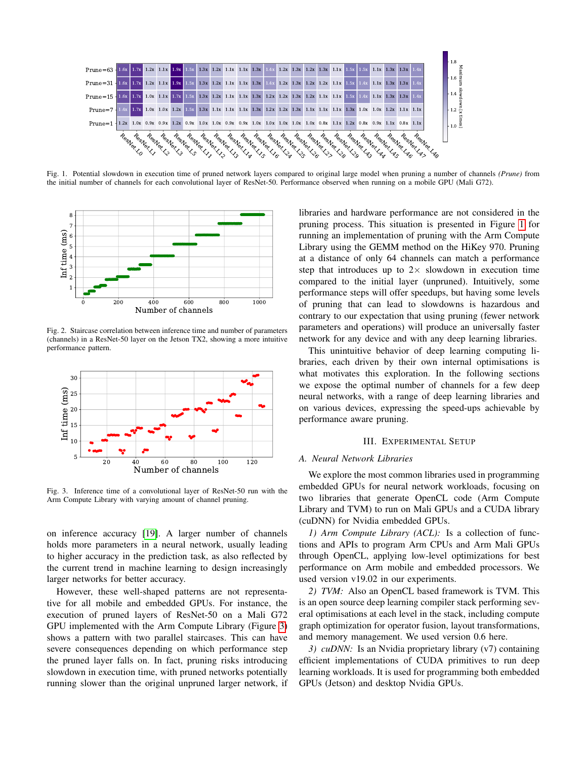

<span id="page-2-3"></span>Fig. 1. Potential slowdown in execution time of pruned network layers compared to original large model when pruning a number of channels *(Prune)* from the initial number of channels for each convolutional layer of ResNet-50. Performance observed when running on a mobile GPU (Mali G72).



<span id="page-2-1"></span>Fig. 2. Staircase correlation between inference time and number of parameters (channels) in a ResNet-50 layer on the Jetson TX2, showing a more intuitive performance pattern.



<span id="page-2-2"></span>Fig. 3. Inference time of a convolutional layer of ResNet-50 run with the Arm Compute Library with varying amount of channel pruning.

on inference accuracy [\[19\]](#page-10-9). A larger number of channels holds more parameters in a neural network, usually leading to higher accuracy in the prediction task, as also reflected by the current trend in machine learning to design increasingly larger networks for better accuracy.

However, these well-shaped patterns are not representative for all mobile and embedded GPUs. For instance, the execution of pruned layers of ResNet-50 on a Mali G72 GPU implemented with the Arm Compute Library (Figure [3\)](#page-2-2) shows a pattern with two parallel staircases. This can have severe consequences depending on which performance step the pruned layer falls on. In fact, pruning risks introducing slowdown in execution time, with pruned networks potentially running slower than the original unpruned larger network, if

libraries and hardware performance are not considered in the pruning process. This situation is presented in Figure [1](#page-2-3) for running an implementation of pruning with the Arm Compute Library using the GEMM method on the HiKey 970. Pruning at a distance of only 64 channels can match a performance step that introduces up to  $2 \times$  slowdown in execution time compared to the initial layer (unpruned). Intuitively, some performance steps will offer speedups, but having some levels of pruning that can lead to slowdowns is hazardous and contrary to our expectation that using pruning (fewer network parameters and operations) will produce an universally faster network for any device and with any deep learning libraries.

This unintuitive behavior of deep learning computing libraries, each driven by their own internal optimisations is what motivates this exploration. In the following sections we expose the optimal number of channels for a few deep neural networks, with a range of deep learning libraries and on various devices, expressing the speed-ups achievable by performance aware pruning.

#### III. EXPERIMENTAL SETUP

# <span id="page-2-0"></span>*A. Neural Network Libraries*

We explore the most common libraries used in programming embedded GPUs for neural network workloads, focusing on two libraries that generate OpenCL code (Arm Compute Library and TVM) to run on Mali GPUs and a CUDA library (cuDNN) for Nvidia embedded GPUs.

*1) Arm Compute Library (ACL):* Is a collection of functions and APIs to program Arm CPUs and Arm Mali GPUs through OpenCL, applying low-level optimizations for best performance on Arm mobile and embedded processors. We used version v19.02 in our experiments.

*2) TVM:* Also an OpenCL based framework is TVM. This is an open source deep learning compiler stack performing several optimisations at each level in the stack, including compute graph optimization for operator fusion, layout transformations, and memory management. We used version 0.6 here.

*3) cuDNN*: Is an Nvidia proprietary library (v7) containing efficient implementations of CUDA primitives to run deep learning workloads. It is used for programming both embedded GPUs (Jetson) and desktop Nvidia GPUs.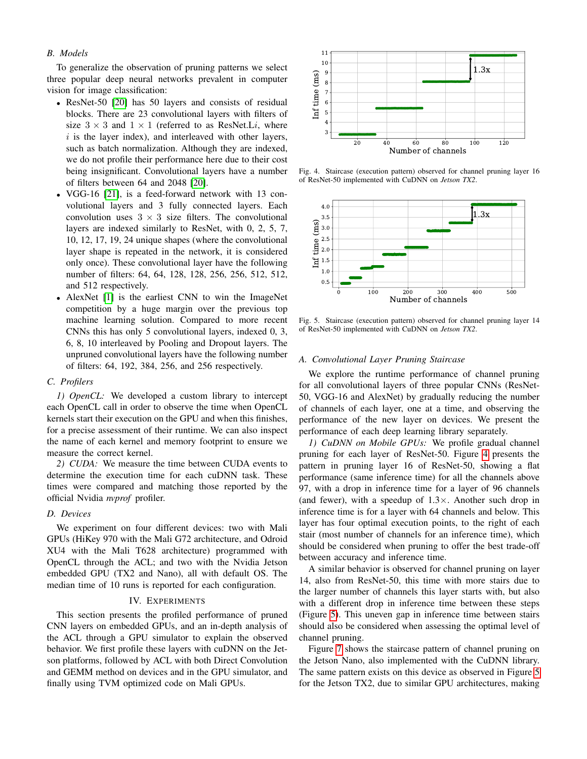## *B. Models*

To generalize the observation of pruning patterns we select three popular deep neural networks prevalent in computer vision for image classification:

- ResNet-50 [\[20\]](#page-10-10) has 50 layers and consists of residual blocks. There are 23 convolutional layers with filters of size  $3 \times 3$  and  $1 \times 1$  (referred to as ResNet.Li, where  $i$  is the layer index), and interleaved with other layers, such as batch normalization. Although they are indexed, we do not profile their performance here due to their cost being insignificant. Convolutional layers have a number of filters between 64 and 2048 [\[20\]](#page-10-10).
- VGG-16 [\[21\]](#page-10-11), is a feed-forward network with 13 convolutional layers and 3 fully connected layers. Each convolution uses  $3 \times 3$  size filters. The convolutional layers are indexed similarly to ResNet, with 0, 2, 5, 7, 10, 12, 17, 19, 24 unique shapes (where the convolutional layer shape is repeated in the network, it is considered only once). These convolutional layer have the following number of filters: 64, 64, 128, 128, 256, 256, 512, 512, and 512 respectively.
- AlexNet [\[1\]](#page-9-0) is the earliest CNN to win the ImageNet competition by a huge margin over the previous top machine learning solution. Compared to more recent CNNs this has only 5 convolutional layers, indexed 0, 3, 6, 8, 10 interleaved by Pooling and Dropout layers. The unpruned convolutional layers have the following number of filters: 64, 192, 384, 256, and 256 respectively.

#### *C. Profilers*

*1) OpenCL:* We developed a custom library to intercept each OpenCL call in order to observe the time when OpenCL kernels start their execution on the GPU and when this finishes, for a precise assessment of their runtime. We can also inspect the name of each kernel and memory footprint to ensure we measure the correct kernel.

*2) CUDA:* We measure the time between CUDA events to determine the execution time for each cuDNN task. These times were compared and matching those reported by the official Nvidia *nvprof* profiler.

# *D. Devices*

We experiment on four different devices: two with Mali GPUs (HiKey 970 with the Mali G72 architecture, and Odroid XU4 with the Mali T628 architecture) programmed with OpenCL through the ACL; and two with the Nvidia Jetson embedded GPU (TX2 and Nano), all with default OS. The median time of 10 runs is reported for each configuration.

# IV. EXPERIMENTS

<span id="page-3-0"></span>This section presents the profiled performance of pruned CNN layers on embedded GPUs, and an in-depth analysis of the ACL through a GPU simulator to explain the observed behavior. We first profile these layers with cuDNN on the Jetson platforms, followed by ACL with both Direct Convolution and GEMM method on devices and in the GPU simulator, and finally using TVM optimized code on Mali GPUs.



<span id="page-3-1"></span>Fig. 4. Staircase (execution pattern) observed for channel pruning layer 16 of ResNet-50 implemented with CuDNN on *Jetson TX2*.



<span id="page-3-2"></span>Fig. 5. Staircase (execution pattern) observed for channel pruning layer 14 of ResNet-50 implemented with CuDNN on *Jetson TX2*.

## *A. Convolutional Layer Pruning Staircase*

We explore the runtime performance of channel pruning for all convolutional layers of three popular CNNs (ResNet-50, VGG-16 and AlexNet) by gradually reducing the number of channels of each layer, one at a time, and observing the performance of the new layer on devices. We present the performance of each deep learning library separately.

*1) CuDNN on Mobile GPUs:* We profile gradual channel pruning for each layer of ResNet-50. Figure [4](#page-3-1) presents the pattern in pruning layer 16 of ResNet-50, showing a flat performance (same inference time) for all the channels above 97, with a drop in inference time for a layer of 96 channels (and fewer), with a speedup of  $1.3 \times$ . Another such drop in inference time is for a layer with 64 channels and below. This layer has four optimal execution points, to the right of each stair (most number of channels for an inference time), which should be considered when pruning to offer the best trade-off between accuracy and inference time.

A similar behavior is observed for channel pruning on layer 14, also from ResNet-50, this time with more stairs due to the larger number of channels this layer starts with, but also with a different drop in inference time between these steps (Figure [5\)](#page-3-2). This uneven gap in inference time between stairs should also be considered when assessing the optimal level of channel pruning.

Figure [7](#page-4-0) shows the staircase pattern of channel pruning on the Jetson Nano, also implemented with the CuDNN library. The same pattern exists on this device as observed in Figure [5](#page-3-2) for the Jetson TX2, due to similar GPU architectures, making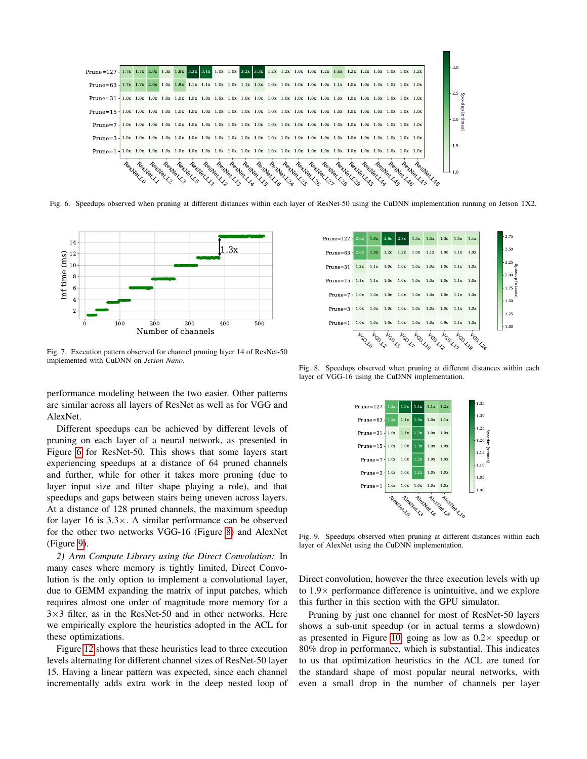

<span id="page-4-1"></span>Fig. 6. Speedups observed when pruning at different distances within each layer of ResNet-50 using the CuDNN implementation running on Jetson TX2.



<span id="page-4-0"></span>Fig. 7. Execution pattern observed for channel pruning layer 14 of ResNet-50 implemented with CuDNN on *Jetson Nano*.

performance modeling between the two easier. Other patterns are similar across all layers of ResNet as well as for VGG and AlexNet.

Different speedups can be achieved by different levels of pruning on each layer of a neural network, as presented in Figure [6](#page-4-1) for ResNet-50. This shows that some layers start experiencing speedups at a distance of 64 pruned channels and further, while for other it takes more pruning (due to layer input size and filter shape playing a role), and that speedups and gaps between stairs being uneven across layers. At a distance of 128 pruned channels, the maximum speedup for layer 16 is  $3.3 \times$ . A similar performance can be observed for the other two networks VGG-16 (Figure [8\)](#page-4-2) and AlexNet (Figure [9\)](#page-4-3).

*2) Arm Compute Library using the Direct Convolution:* In many cases where memory is tightly limited, Direct Convolution is the only option to implement a convolutional layer, due to GEMM expanding the matrix of input patches, which requires almost one order of magnitude more memory for a  $3\times3$  filter, as in the ResNet-50 and in other networks. Here we empirically explore the heuristics adopted in the ACL for these optimizations.

Figure [12](#page-5-0) shows that these heuristics lead to three execution levels alternating for different channel sizes of ResNet-50 layer 15. Having a linear pattern was expected, since each channel incrementally adds extra work in the deep nested loop of



<span id="page-4-2"></span>Fig. 8. Speedups observed when pruning at different distances within each layer of VGG-16 using the CuDNN implementation.



<span id="page-4-3"></span>Fig. 9. Speedups observed when pruning at different distances within each layer of AlexNet using the CuDNN implementation.

Direct convolution, however the three execution levels with up to  $1.9\times$  performance difference is unintuitive, and we explore this further in this section with the GPU simulator.

Pruning by just one channel for most of ResNet-50 layers shows a sub-unit speedup (or in actual terms a slowdown) as presented in Figure [10,](#page-5-1) going as low as  $0.2 \times$  speedup or 80% drop in performance, which is substantial. This indicates to us that optimization heuristics in the ACL are tuned for the standard shape of most popular neural networks, with even a small drop in the number of channels per layer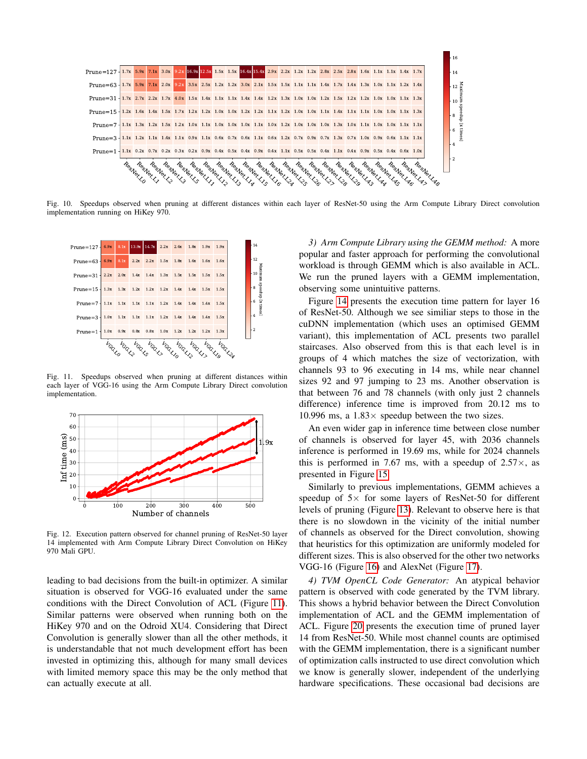

<span id="page-5-1"></span>Fig. 10. Speedups observed when pruning at different distances within each layer of ResNet-50 using the Arm Compute Library Direct convolution implementation running on HiKey 970.



<span id="page-5-2"></span>Fig. 11. Speedups observed when pruning at different distances within each layer of VGG-16 using the Arm Compute Library Direct convolution implementation.



<span id="page-5-0"></span>Fig. 12. Execution pattern observed for channel pruning of ResNet-50 layer 14 implemented with Arm Compute Library Direct Convolution on HiKey 970 Mali GPU.

leading to bad decisions from the built-in optimizer. A similar situation is observed for VGG-16 evaluated under the same conditions with the Direct Convolution of ACL (Figure [11\)](#page-5-2). Similar patterns were observed when running both on the HiKey 970 and on the Odroid XU4. Considering that Direct Convolution is generally slower than all the other methods, it is understandable that not much development effort has been invested in optimizing this, although for many small devices with limited memory space this may be the only method that can actually execute at all.

*3) Arm Compute Library using the GEMM method:* A more popular and faster approach for performing the convolutional workload is through GEMM which is also available in ACL. We run the pruned layers with a GEMM implementation, observing some unintuitive patterns.

Figure [14](#page-6-0) presents the execution time pattern for layer 16 of ResNet-50. Although we see similiar steps to those in the cuDNN implementation (which uses an optimised GEMM variant), this implementation of ACL presents two parallel staircases. Also observed from this is that each level is in groups of 4 which matches the size of vectorization, with channels 93 to 96 executing in 14 ms, while near channel sizes 92 and 97 jumping to 23 ms. Another observation is that between 76 and 78 channels (with only just 2 channels difference) inference time is improved from 20.12 ms to 10.996 ms, a  $1.83 \times$  speedup between the two sizes.

An even wider gap in inference time between close number of channels is observed for layer 45, with 2036 channels inference is performed in 19.69 ms, while for 2024 channels this is performed in 7.67 ms, with a speedup of  $2.57\times$ , as presented in Figure [15.](#page-6-1)

Similarly to previous implementations, GEMM achieves a speedup of  $5\times$  for some layers of ResNet-50 for different levels of pruning (Figure [13\)](#page-6-2). Relevant to observe here is that there is no slowdown in the vicinity of the initial number of channels as observed for the Direct convolution, showing that heuristics for this optimization are uniformly modeled for different sizes. This is also observed for the other two networks VGG-16 (Figure [16\)](#page-6-3) and AlexNet (Figure [17\)](#page-6-4).

*4) TVM OpenCL Code Generator:* An atypical behavior pattern is observed with code generated by the TVM library. This shows a hybrid behavior between the Direct Convolution implementation of ACL and the GEMM implementation of ACL. Figure [20](#page-8-2) presents the execution time of pruned layer 14 from ResNet-50. While most channel counts are optimised with the GEMM implementation, there is a significant number of optimization calls instructed to use direct convolution which we know is generally slower, independent of the underlying hardware specifications. These occasional bad decisions are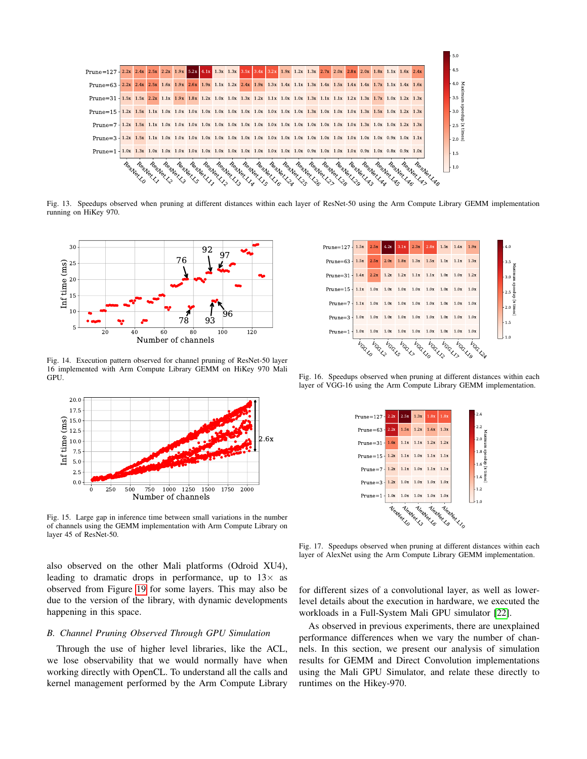

<span id="page-6-2"></span>Fig. 13. Speedups observed when pruning at different distances within each layer of ResNet-50 using the Arm Compute Library GEMM implementation running on HiKey 970.



<span id="page-6-0"></span>Fig. 14. Execution pattern observed for channel pruning of ResNet-50 layer 16 implemented with Arm Compute Library GEMM on HiKey 970 Mali GPU.



<span id="page-6-1"></span>Fig. 15. Large gap in inference time between small variations in the number of channels using the GEMM implementation with Arm Compute Library on layer 45 of ResNet-50.

also observed on the other Mali platforms (Odroid XU4), leading to dramatic drops in performance, up to  $13\times$  as observed from Figure [19](#page-8-3) for some layers. This may also be due to the version of the library, with dynamic developments happening in this space.

# *B. Channel Pruning Observed Through GPU Simulation*

Through the use of higher level libraries, like the ACL, we lose observability that we would normally have when working directly with OpenCL. To understand all the calls and kernel management performed by the Arm Compute Library



<span id="page-6-3"></span>Fig. 16. Speedups observed when pruning at different distances within each layer of VGG-16 using the Arm Compute Library GEMM implementation.



<span id="page-6-4"></span>Fig. 17. Speedups observed when pruning at different distances within each layer of AlexNet using the Arm Compute Library GEMM implementation.

for different sizes of a convolutional layer, as well as lowerlevel details about the execution in hardware, we executed the workloads in a Full-System Mali GPU simulator [\[22\]](#page-10-12).

As observed in previous experiments, there are unexplained performance differences when we vary the number of channels. In this section, we present our analysis of simulation results for GEMM and Direct Convolution implementations using the Mali GPU Simulator, and relate these directly to runtimes on the Hikey-970.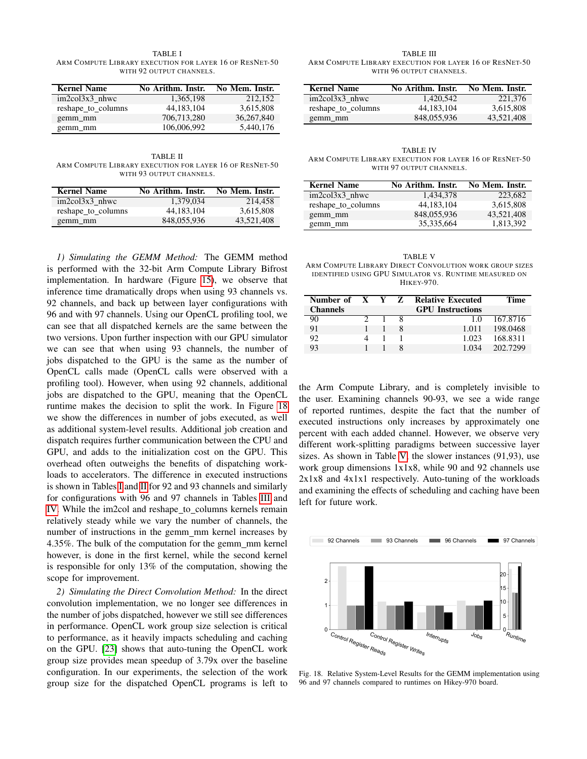<span id="page-7-1"></span>TABLE I ARM COMPUTE LIBRARY EXECUTION FOR LAYER 16 OF RESNET-50 WITH 92 OUTPUT CHANNELS.

| <b>Kernel Name</b> | No Arithm. Instr. | No Mem. Instr. |
|--------------------|-------------------|----------------|
| $im2col3x3$ nhwc   | 1,365,198         | 212.152        |
| reshape_to_columns | 44,183,104        | 3,615,808      |
| gemm mm            | 706,713,280       | 36,267,840     |
| gemm mm            | 106,006,992       | 5.440.176      |

<span id="page-7-2"></span>TABLE II ARM COMPUTE LIBRARY EXECUTION FOR LAYER 16 OF RESNET-50 WITH 93 OUTPUT CHANNELS.

| <b>Kernel Name</b> | No Arithm. Instr. | No Mem. Instr. |  |
|--------------------|-------------------|----------------|--|
| $im2col3x3$ nhwc   | 1.379.034         | 214.458        |  |
| reshape_to_columns | 44.183.104        | 3.615.808      |  |
| gemm mm            | 848,055,936       | 43.521.408     |  |

*1) Simulating the GEMM Method:* The GEMM method is performed with the 32-bit Arm Compute Library Bifrost implementation. In hardware (Figure [15\)](#page-6-1), we observe that inference time dramatically drops when using 93 channels vs. 92 channels, and back up between layer configurations with 96 and with 97 channels. Using our OpenCL profiling tool, we can see that all dispatched kernels are the same between the two versions. Upon further inspection with our GPU simulator we can see that when using 93 channels, the number of jobs dispatched to the GPU is the same as the number of OpenCL calls made (OpenCL calls were observed with a profiling tool). However, when using 92 channels, additional jobs are dispatched to the GPU, meaning that the OpenCL runtime makes the decision to split the work. In Figure [18](#page-7-0) we show the differences in number of jobs executed, as well as additional system-level results. Additional job creation and dispatch requires further communication between the CPU and GPU, and adds to the initialization cost on the GPU. This overhead often outweighs the benefits of dispatching workloads to accelerators. The difference in executed instructions is shown in Tables [I](#page-7-1) and [II](#page-7-2) for 92 and 93 channels and similarly for configurations with 96 and 97 channels in Tables [III](#page-7-3) and [IV.](#page-7-4) While the im2col and reshape\_to\_columns kernels remain relatively steady while we vary the number of channels, the number of instructions in the gemm\_mm kernel increases by 4.35%. The bulk of the computation for the gemm mm kernel however, is done in the first kernel, while the second kernel is responsible for only 13% of the computation, showing the scope for improvement.

*2) Simulating the Direct Convolution Method:* In the direct convolution implementation, we no longer see differences in the number of jobs dispatched, however we still see differences in performance. OpenCL work group size selection is critical to performance, as it heavily impacts scheduling and caching on the GPU. [\[23\]](#page-10-13) shows that auto-tuning the OpenCL work group size provides mean speedup of 3.79x over the baseline configuration. In our experiments, the selection of the work group size for the dispatched OpenCL programs is left to

<span id="page-7-3"></span>TABLE III ARM COMPUTE LIBRARY EXECUTION FOR LAYER 16 OF RESNET-50 WITH 96 OUTPUT CHANNELS.

| <b>Kernel Name</b> | No Arithm. Instr. | No Mem. Instr. |
|--------------------|-------------------|----------------|
| $im2col3x3$ nhwc   | 1.420.542         | 221,376        |
| reshape_to_columns | 44.183.104        | 3.615.808      |
| gemm mm            | 848,055,936       | 43.521.408     |

<span id="page-7-4"></span>TABLE IV ARM COMPUTE LIBRARY EXECUTION FOR LAYER 16 OF RESNET-50 WITH 97 OUTPUT CHANNELS.

| <b>Kernel Name</b> | No Arithm. Instr. | No Mem. Instr. |
|--------------------|-------------------|----------------|
| $im2col3x3$ nhwc   | 1.434.378         | 223,682        |
| reshape_to_columns | 44,183,104        | 3,615,808      |
| gemm mm            | 848,055,936       | 43,521,408     |
| gemm_mm            | 35, 335, 664      | 1,813,392      |

<span id="page-7-5"></span>TABLE V ARM COMPUTE LIBRARY DIRECT CONVOLUTION WORK GROUP SIZES IDENTIFIED USING GPU SIMULATOR VS. RUNTIME MEASURED ON HIKEY-970.

| Number of X Y Z |  | <b>Relative Executed</b> | Time     |
|-----------------|--|--------------------------|----------|
| <b>Channels</b> |  | <b>GPU</b> Instructions  |          |
| 90              |  | 1 <sub>0</sub>           | 167.8716 |
| 91              |  | 1 011                    | 198,0468 |
| 92              |  | 1.023                    | 168.8311 |
| 93              |  | 1 034                    | 202.7299 |

the Arm Compute Library, and is completely invisible to the user. Examining channels 90-93, we see a wide range of reported runtimes, despite the fact that the number of executed instructions only increases by approximately one percent with each added channel. However, we observe very different work-splitting paradigms between successive layer sizes. As shown in Table [V,](#page-7-5) the slower instances (91,93), use work group dimensions 1x1x8, while 90 and 92 channels use 2x1x8 and 4x1x1 respectively. Auto-tuning of the workloads and examining the effects of scheduling and caching have been left for future work.



<span id="page-7-0"></span>Fig. 18. Relative System-Level Results for the GEMM implementation using 96 and 97 channels compared to runtimes on Hikey-970 board.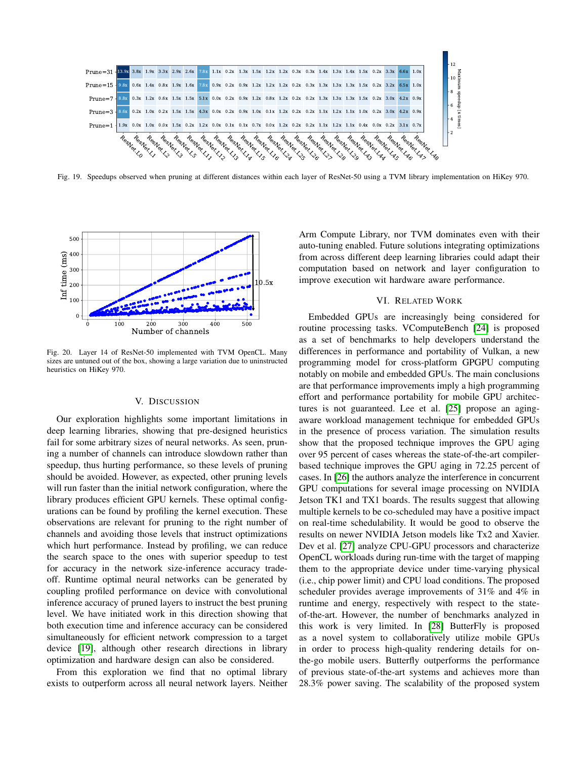

<span id="page-8-3"></span>Fig. 19. Speedups observed when pruning at different distances within each layer of ResNet-50 using a TVM library implementation on HiKey 970.



<span id="page-8-2"></span>Fig. 20. Layer 14 of ResNet-50 implemented with TVM OpenCL. Many sizes are untuned out of the box, showing a large variation due to uninstructed heuristics on HiKey 970.

#### V. DISCUSSION

<span id="page-8-0"></span>Our exploration highlights some important limitations in deep learning libraries, showing that pre-designed heuristics fail for some arbitrary sizes of neural networks. As seen, pruning a number of channels can introduce slowdown rather than speedup, thus hurting performance, so these levels of pruning should be avoided. However, as expected, other pruning levels will run faster than the initial network configuration, where the library produces efficient GPU kernels. These optimal configurations can be found by profiling the kernel execution. These observations are relevant for pruning to the right number of channels and avoiding those levels that instruct optimizations which hurt performance. Instead by profiling, we can reduce the search space to the ones with superior speedup to test for accuracy in the network size-inference accuracy tradeoff. Runtime optimal neural networks can be generated by coupling profiled performance on device with convolutional inference accuracy of pruned layers to instruct the best pruning level. We have initiated work in this direction showing that both execution time and inference accuracy can be considered simultaneously for efficient network compression to a target device [\[19\]](#page-10-9), although other research directions in library optimization and hardware design can also be considered.

From this exploration we find that no optimal library exists to outperform across all neural network layers. Neither

Arm Compute Library, nor TVM dominates even with their auto-tuning enabled. Future solutions integrating optimizations from across different deep learning libraries could adapt their computation based on network and layer configuration to improve execution wit hardware aware performance.

## VI. RELATED WORK

<span id="page-8-1"></span>Embedded GPUs are increasingly being considered for routine processing tasks. VComputeBench [\[24\]](#page-10-14) is proposed as a set of benchmarks to help developers understand the differences in performance and portability of Vulkan, a new programming model for cross-platform GPGPU computing notably on mobile and embedded GPUs. The main conclusions are that performance improvements imply a high programming effort and performance portability for mobile GPU architectures is not guaranteed. Lee et al. [\[25\]](#page-10-15) propose an agingaware workload management technique for embedded GPUs in the presence of process variation. The simulation results show that the proposed technique improves the GPU aging over 95 percent of cases whereas the state-of-the-art compilerbased technique improves the GPU aging in 72.25 percent of cases. In [\[26\]](#page-10-16) the authors analyze the interference in concurrent GPU computations for several image processing on NVIDIA Jetson TK1 and TX1 boards. The results suggest that allowing multiple kernels to be co-scheduled may have a positive impact on real-time schedulability. It would be good to observe the results on newer NVIDIA Jetson models like Tx2 and Xavier. Dev et al. [\[27\]](#page-10-17) analyze CPU-GPU processors and characterize OpenCL workloads during run-time with the target of mapping them to the appropriate device under time-varying physical (i.e., chip power limit) and CPU load conditions. The proposed scheduler provides average improvements of 31% and 4% in runtime and energy, respectively with respect to the stateof-the-art. However, the number of benchmarks analyzed in this work is very limited. In [\[28\]](#page-10-18) ButterFly is proposed as a novel system to collaboratively utilize mobile GPUs in order to process high-quality rendering details for onthe-go mobile users. Butterfly outperforms the performance of previous state-of-the-art systems and achieves more than 28.3% power saving. The scalability of the proposed system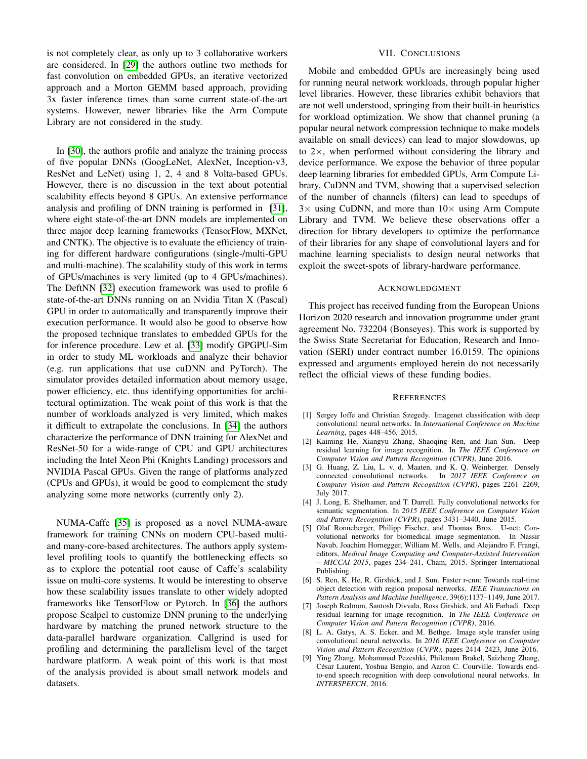is not completely clear, as only up to 3 collaborative workers are considered. In [\[29\]](#page-10-19) the authors outline two methods for fast convolution on embedded GPUs, an iterative vectorized approach and a Morton GEMM based approach, providing 3x faster inference times than some current state-of-the-art systems. However, newer libraries like the Arm Compute Library are not considered in the study.

In [\[30\]](#page-10-20), the authors profile and analyze the training process of five popular DNNs (GoogLeNet, AlexNet, Inception-v3, ResNet and LeNet) using 1, 2, 4 and 8 Volta-based GPUs. However, there is no discussion in the text about potential scalability effects beyond 8 GPUs. An extensive performance analysis and profiling of DNN training is performed in [\[31\]](#page-10-21), where eight state-of-the-art DNN models are implemented on three major deep learning frameworks (TensorFlow, MXNet, and CNTK). The objective is to evaluate the efficiency of training for different hardware configurations (single-/multi-GPU and multi-machine). The scalability study of this work in terms of GPUs/machines is very limited (up to 4 GPUs/machines). The DeftNN [\[32\]](#page-10-22) execution framework was used to profile 6 state-of-the-art DNNs running on an Nvidia Titan X (Pascal) GPU in order to automatically and transparently improve their execution performance. It would also be good to observe how the proposed technique translates to embedded GPUs for the for inference procedure. Lew et al. [\[33\]](#page-10-23) modify GPGPU-Sim in order to study ML workloads and analyze their behavior (e.g. run applications that use cuDNN and PyTorch). The simulator provides detailed information about memory usage, power efficiency, etc. thus identifying opportunities for architectural optimization. The weak point of this work is that the number of workloads analyzed is very limited, which makes it difficult to extrapolate the conclusions. In [\[34\]](#page-10-24) the authors characterize the performance of DNN training for AlexNet and ResNet-50 for a wide-range of CPU and GPU architectures including the Intel Xeon Phi (Knights Landing) processors and NVIDIA Pascal GPUs. Given the range of platforms analyzed (CPUs and GPUs), it would be good to complement the study analyzing some more networks (currently only 2).

NUMA-Caffe [\[35\]](#page-10-25) is proposed as a novel NUMA-aware framework for training CNNs on modern CPU-based multiand many-core-based architectures. The authors apply systemlevel profiling tools to quantify the bottlenecking effects so as to explore the potential root cause of Caffe's scalability issue on multi-core systems. It would be interesting to observe how these scalability issues translate to other widely adopted frameworks like TensorFlow or Pytorch. In [\[36\]](#page-10-26) the authors propose Scalpel to customize DNN pruning to the underlying hardware by matching the pruned network structure to the data-parallel hardware organization. Callgrind is used for profiling and determining the parallelism level of the target hardware platform. A weak point of this work is that most of the analysis provided is about small network models and datasets.

# VII. CONCLUSIONS

<span id="page-9-8"></span>Mobile and embedded GPUs are increasingly being used for running neural network workloads, through popular higher level libraries. However, these libraries exhibit behaviors that are not well understood, springing from their built-in heuristics for workload optimization. We show that channel pruning (a popular neural network compression technique to make models available on small devices) can lead to major slowdowns, up to  $2\times$ , when performed without considering the library and device performance. We expose the behavior of three popular deep learning libraries for embedded GPUs, Arm Compute Library, CuDNN and TVM, showing that a supervised selection of the number of channels (filters) can lead to speedups of  $3\times$  using CuDNN, and more than  $10\times$  using Arm Compute Library and TVM. We believe these observations offer a direction for library developers to optimize the performance of their libraries for any shape of convolutional layers and for machine learning specialists to design neural networks that exploit the sweet-spots of library-hardware performance.

#### ACKNOWLEDGMENT

This project has received funding from the European Unions Horizon 2020 research and innovation programme under grant agreement No. 732204 (Bonseyes). This work is supported by the Swiss State Secretariat for Education, Research and Innovation (SERI) under contract number 16.0159. The opinions expressed and arguments employed herein do not necessarily reflect the official views of these funding bodies.

#### **REFERENCES**

- <span id="page-9-0"></span>[1] Sergey Ioffe and Christian Szegedy. Imagenet classification with deep convolutional neural networks. In *International Conference on Machine Learning*, pages 448–456, 2015.
- [2] Kaiming He, Xiangyu Zhang, Shaoqing Ren, and Jian Sun. Deep residual learning for image recognition. In *The IEEE Conference on Computer Vision and Pattern Recognition (CVPR)*, June 2016.
- <span id="page-9-1"></span>[3] G. Huang, Z. Liu, L. v. d. Maaten, and K. Q. Weinberger. Densely connected convolutional networks. In *2017 IEEE Conference on Computer Vision and Pattern Recognition (CVPR)*, pages 2261–2269, July 2017.
- <span id="page-9-2"></span>[4] J. Long, E. Shelhamer, and T. Darrell. Fully convolutional networks for semantic segmentation. In *2015 IEEE Conference on Computer Vision and Pattern Recognition (CVPR)*, pages 3431–3440, June 2015.
- <span id="page-9-3"></span>[5] Olaf Ronneberger, Philipp Fischer, and Thomas Brox. U-net: Convolutional networks for biomedical image segmentation. In Nassir Navab, Joachim Hornegger, William M. Wells, and Alejandro F. Frangi, editors, *Medical Image Computing and Computer-Assisted Intervention – MICCAI 2015*, pages 234–241, Cham, 2015. Springer International Publishing.
- <span id="page-9-4"></span>[6] S. Ren, K. He, R. Girshick, and J. Sun. Faster r-cnn: Towards real-time object detection with region proposal networks. *IEEE Transactions on Pattern Analysis and Machine Intelligence*, 39(6):1137–1149, June 2017.
- <span id="page-9-5"></span>[7] Joseph Redmon, Santosh Divvala, Ross Girshick, and Ali Farhadi. Deep residual learning for image recognition. In *The IEEE Conference on Computer Vision and Pattern Recognition (CVPR)*, 2016.
- <span id="page-9-6"></span>[8] L. A. Gatys, A. S. Ecker, and M. Bethge. Image style transfer using convolutional neural networks. In *2016 IEEE Conference on Computer Vision and Pattern Recognition (CVPR)*, pages 2414–2423, June 2016.
- <span id="page-9-7"></span>[9] Ying Zhang, Mohammad Pezeshki, Philemon Brakel, Saizheng Zhang, César Laurent, Yoshua Bengio, and Aaron C. Courville. Towards endto-end speech recognition with deep convolutional neural networks. In *INTERSPEECH*, 2016.